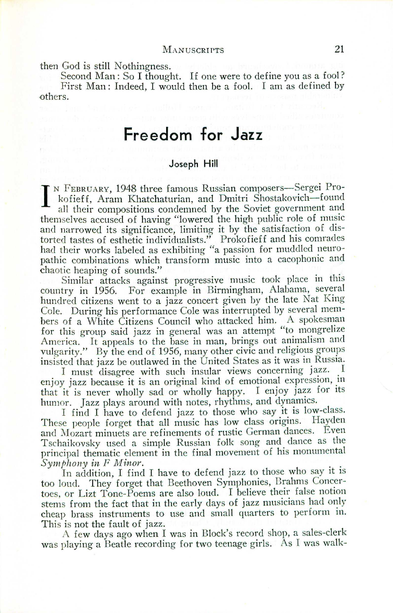then God is still Nothingness.

Second Man: So <sup>I</sup> thought. If one were to define you as <sup>a</sup> fool? First Man: Indeed, I would then be a fool. I am as defined by others.

# **Freedom for Jazz**

### Joseph **Hill**

I'N FEBRUARY, 1948 three famous Russian composers-Sergei Prokofieff, Aram Khatchaturian, and Dmitri Shostakovich-found all their compositions condemned by the Soviet government and themselves accused of having "lowered the high public role of music and narrowed its significance, limiting it by the satisfaction of distorted tastes of esthetic individualists." Prokofieff and his comrade had their works labeled as exhibiting "a passion for muddled neuropathic combinations which transform music into a cacophonic and chaotic heaping of sounds."

Similar attacks against progressive music took place in this country in 1956. For example in Birmingham, Alabama, several hundred citizens went to a jazz concert given by the late Nat King Cole. During his performance Cole was interrupted by several members of a White Citizens Council who attacked him. A spokesman for this group said jazz in general was an attempt "to mongrelize America. It appeals to the base in man, brings out animalism and vulgarity." By the end of 1956, many other civic and religious groups insisted that jazz be outlawed in the United States as it was in Russia.

I must disagree with such insular views concerning jazz. I enjoy jazz because it is an original kind of emotional expression, in that it is never wholly sad or wholly happy. I enjoy jazz for its humor. Jazz plays around with notes, rhythms, and dynamics.

I find I have to defend jazz to those who say it is low-class. These people forget that all music has low class origins. Hayden and Mozart minuets are refinements of rustic German dances. Even Tschaikovsky used a simple Russian folk song and dance as the principal thematic element in the final movement of his monumental *Symphony in F Minor.* 

In addition, I find I have to defend jazz to those who say it is too loud. They forget that Beethoven Symphonies, Brahms Concertoes, or Lizt Tone-Poems are also loud. I believe their false notion stems from the fact that in the early days of jazz musicians had only cheap brass instruments to use and small quarters to perform in. This is not the fault of jazz.

A few clays ago when I was in Block's record shop, a sales-clerk was playing a Beatle recording for two teenage girls. As I was walk-